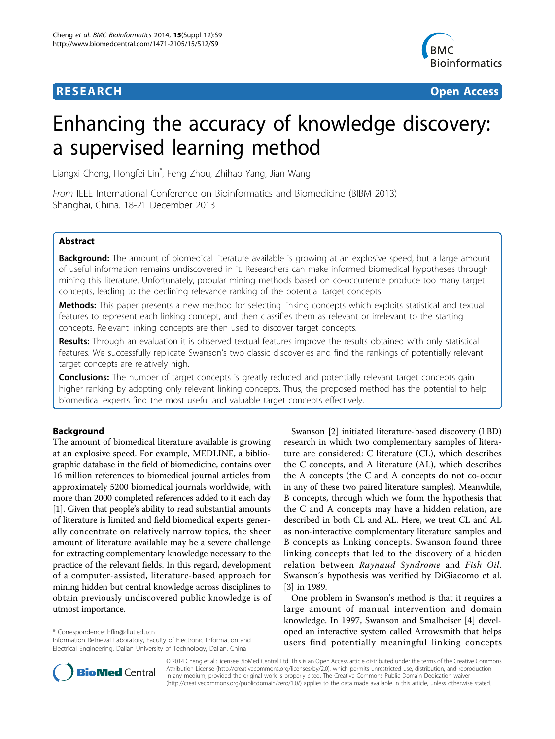

**RESEARCH CONTROL** CONTROL CONTROL CONTROL CONTROL CONTROL CONTROL CONTROL CONTROL CONTROL CONTROL CONTROL CONTROL CONTROL CONTROL CONTROL CONTROL CONTROL CONTROL CONTROL CONTROL CONTROL CONTROL CONTROL CONTROL CONTROL CON

# Enhancing the accuracy of knowledge discovery: a supervised learning method

Liangxi Cheng, Hongfei Lin\* , Feng Zhou, Zhihao Yang, Jian Wang

From IEEE International Conference on Bioinformatics and Biomedicine (BIBM 2013) Shanghai, China. 18-21 December 2013

#### Abstract

**Background:** The amount of biomedical literature available is growing at an explosive speed, but a large amount of useful information remains undiscovered in it. Researchers can make informed biomedical hypotheses through mining this literature. Unfortunately, popular mining methods based on co-occurrence produce too many target concepts, leading to the declining relevance ranking of the potential target concepts.

Methods: This paper presents a new method for selecting linking concepts which exploits statistical and textual features to represent each linking concept, and then classifies them as relevant or irrelevant to the starting concepts. Relevant linking concepts are then used to discover target concepts.

Results: Through an evaluation it is observed textual features improve the results obtained with only statistical features. We successfully replicate Swanson's two classic discoveries and find the rankings of potentially relevant target concepts are relatively high.

Conclusions: The number of target concepts is greatly reduced and potentially relevant target concepts gain higher ranking by adopting only relevant linking concepts. Thus, the proposed method has the potential to help biomedical experts find the most useful and valuable target concepts effectively.

#### Background

The amount of biomedical literature available is growing at an explosive speed. For example, MEDLINE, a bibliographic database in the field of biomedicine, contains over 16 million references to biomedical journal articles from approximately 5200 biomedical journals worldwide, with more than 2000 completed references added to it each day [[1\]](#page-8-0). Given that people's ability to read substantial amounts of literature is limited and field biomedical experts generally concentrate on relatively narrow topics, the sheer amount of literature available may be a severe challenge for extracting complementary knowledge necessary to the practice of the relevant fields. In this regard, development of a computer-assisted, literature-based approach for mining hidden but central knowledge across disciplines to obtain previously undiscovered public knowledge is of utmost importance.

\* Correspondence: [hflin@dlut.edu.cn](mailto:hflin@dlut.edu.cn)

Information Retrieval Laboratory, Faculty of Electronic Information and Electrical Engineering, Dalian University of Technology, Dalian, China



One problem in Swanson's method is that it requires a large amount of manual intervention and domain knowledge. In 1997, Swanson and Smalheiser [[4\]](#page-8-0) developed an interactive system called Arrowsmith that helps users find potentially meaningful linking concepts



© 2014 Cheng et al.; licensee BioMed Central Ltd. This is an Open Access article distributed under the terms of the Creative Commons Attribution License [\(http://creativecommons.org/licenses/by/2.0](http://creativecommons.org/licenses/by/2.0)), which permits unrestricted use, distribution, and reproduction in any medium, provided the original work is properly cited. The Creative Commons Public Domain Dedication waiver [\(http://creativecommons.org/publicdomain/zero/1.0/](http://�creativecommons.org/publicdomain/zero/1.0/)) applies to the data made available in this article, unless otherwise stated.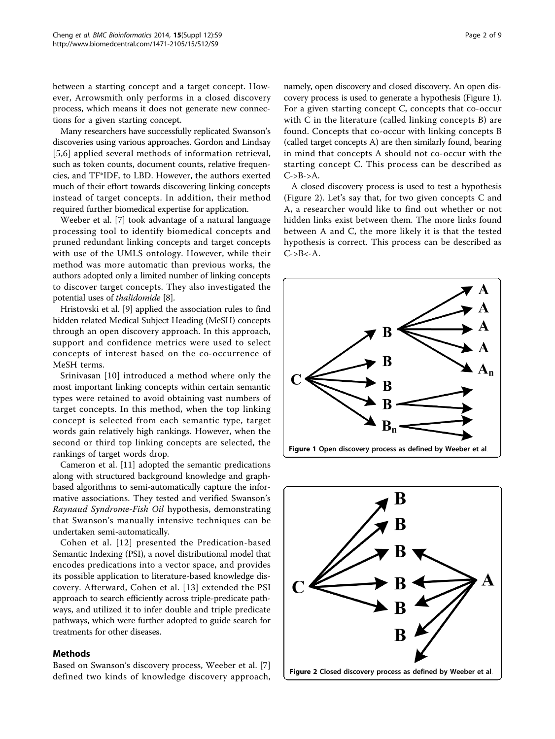between a starting concept and a target concept. However, Arrowsmith only performs in a closed discovery process, which means it does not generate new connections for a given starting concept.

Many researchers have successfully replicated Swanson's discoveries using various approaches. Gordon and Lindsay [[5](#page-8-0),[6\]](#page-8-0) applied several methods of information retrieval, such as token counts, document counts, relative frequencies, and TF\*IDF, to LBD. However, the authors exerted much of their effort towards discovering linking concepts instead of target concepts. In addition, their method required further biomedical expertise for application.

Weeber et al. [\[7](#page-8-0)] took advantage of a natural language processing tool to identify biomedical concepts and pruned redundant linking concepts and target concepts with use of the UMLS ontology. However, while their method was more automatic than previous works, the authors adopted only a limited number of linking concepts to discover target concepts. They also investigated the potential uses of thalidomide [\[8\]](#page-8-0).

Hristovski et al. [[9](#page-8-0)] applied the association rules to find hidden related Medical Subject Heading (MeSH) concepts through an open discovery approach. In this approach, support and confidence metrics were used to select concepts of interest based on the co-occurrence of MeSH terms.

Srinivasan [\[10](#page-8-0)] introduced a method where only the most important linking concepts within certain semantic types were retained to avoid obtaining vast numbers of target concepts. In this method, when the top linking concept is selected from each semantic type, target words gain relatively high rankings. However, when the second or third top linking concepts are selected, the rankings of target words drop.

Cameron et al. [\[11](#page-8-0)] adopted the semantic predications along with structured background knowledge and graphbased algorithms to semi-automatically capture the informative associations. They tested and verified Swanson's Raynaud Syndrome-Fish Oil hypothesis, demonstrating that Swanson's manually intensive techniques can be undertaken semi-automatically.

Cohen et al. [[12\]](#page-8-0) presented the Predication-based Semantic Indexing (PSI), a novel distributional model that encodes predications into a vector space, and provides its possible application to literature-based knowledge discovery. Afterward, Cohen et al. [[13](#page-8-0)] extended the PSI approach to search efficiently across triple-predicate pathways, and utilized it to infer double and triple predicate pathways, which were further adopted to guide search for treatments for other diseases.

#### Methods

Based on Swanson's discovery process, Weeber et al. [\[7](#page-8-0)] defined two kinds of knowledge discovery approach, namely, open discovery and closed discovery. An open discovery process is used to generate a hypothesis (Figure 1). For a given starting concept C, concepts that co-occur with C in the literature (called linking concepts B) are found. Concepts that co-occur with linking concepts B (called target concepts A) are then similarly found, bearing in mind that concepts A should not co-occur with the starting concept C. This process can be described as  $C$ ->B->A.

A closed discovery process is used to test a hypothesis (Figure 2). Let's say that, for two given concepts C and A, a researcher would like to find out whether or not hidden links exist between them. The more links found between A and C, the more likely it is that the tested hypothesis is correct. This process can be described as  $C$ -> $B$ <-A.



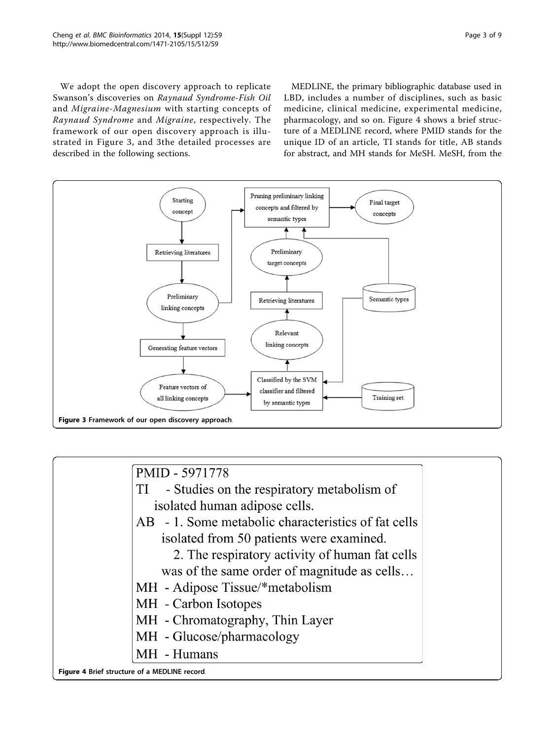We adopt the open discovery approach to replicate Swanson's discoveries on Raynaud Syndrome-Fish Oil and Migraine-Magnesium with starting concepts of Raynaud Syndrome and Migraine, respectively. The framework of our open discovery approach is illustrated in Figure 3, and 3the detailed processes are described in the following sections.

MEDLINE, the primary bibliographic database used in LBD, includes a number of disciplines, such as basic medicine, clinical medicine, experimental medicine, pharmacology, and so on. Figure 4 shows a brief structure of a MEDLINE record, where PMID stands for the unique ID of an article, TI stands for title, AB stands for abstract, and MH stands for MeSH. MeSH, from the



## **PMID - 5971778**

- Studies on the respiratory metabolism of TI isolated human adipose cells.
- AB 1. Some metabolic characteristics of fat cells isolated from 50 patients were examined.
	- 2. The respiratory activity of human fat cells was of the same order of magnitude as cells...
- MH Adipose Tissue/\*metabolism
- MH Carbon Isotopes
- MH Chromatography, Thin Layer
- MH Glucose/pharmacology
- MH Humans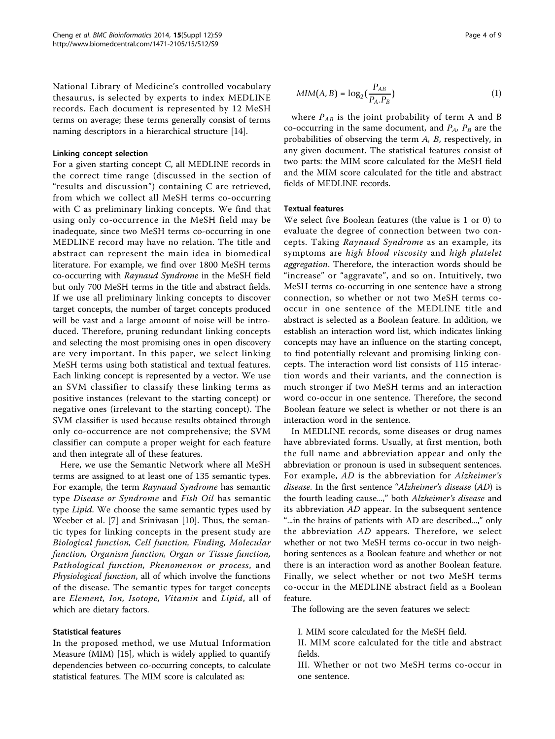National Library of Medicine's controlled vocabulary thesaurus, is selected by experts to index MEDLINE records. Each document is represented by 12 MeSH terms on average; these terms generally consist of terms naming descriptors in a hierarchical structure [\[14\]](#page-8-0).

#### Linking concept selection

For a given starting concept C, all MEDLINE records in the correct time range (discussed in the section of "results and discussion") containing C are retrieved, from which we collect all MeSH terms co-occurring with C as preliminary linking concepts. We find that using only co-occurrence in the MeSH field may be inadequate, since two MeSH terms co-occurring in one MEDLINE record may have no relation. The title and abstract can represent the main idea in biomedical literature. For example, we find over 1800 MeSH terms co-occurring with Raynaud Syndrome in the MeSH field but only 700 MeSH terms in the title and abstract fields. If we use all preliminary linking concepts to discover target concepts, the number of target concepts produced will be vast and a large amount of noise will be introduced. Therefore, pruning redundant linking concepts and selecting the most promising ones in open discovery are very important. In this paper, we select linking MeSH terms using both statistical and textual features. Each linking concept is represented by a vector. We use an SVM classifier to classify these linking terms as positive instances (relevant to the starting concept) or negative ones (irrelevant to the starting concept). The SVM classifier is used because results obtained through only co-occurrence are not comprehensive; the SVM classifier can compute a proper weight for each feature and then integrate all of these features.

Here, we use the Semantic Network where all MeSH terms are assigned to at least one of 135 semantic types. For example, the term Raynaud Syndrome has semantic type Disease or Syndrome and Fish Oil has semantic type Lipid. We choose the same semantic types used by Weeber et al. [\[7](#page-8-0)] and Srinivasan [\[10](#page-8-0)]. Thus, the semantic types for linking concepts in the present study are Biological function, Cell function, Finding, Molecular function, Organism function, Organ or Tissue function, Pathological function, Phenomenon or process, and Physiological function, all of which involve the functions of the disease. The semantic types for target concepts are Element, Ion, Isotope, Vitamin and Lipid, all of which are dietary factors.

#### Statistical features

In the proposed method, we use Mutual Information Measure (MIM) [[15\]](#page-8-0), which is widely applied to quantify dependencies between co-occurring concepts, to calculate statistical features. The MIM score is calculated as:

$$
MIM(A, B) = \log_2(\frac{P_{AB}}{P_A.P_B})
$$
\n(1)

where  $P_{AB}$  is the joint probability of term A and B co-occurring in the same document, and  $P_A$ ,  $P_B$  are the probabilities of observing the term A, B, respectively, in any given document. The statistical features consist of two parts: the MIM score calculated for the MeSH field and the MIM score calculated for the title and abstract fields of MEDLINE records.

#### Textual features

We select five Boolean features (the value is 1 or 0) to evaluate the degree of connection between two concepts. Taking Raynaud Syndrome as an example, its symptoms are high blood viscosity and high platelet aggregation. Therefore, the interaction words should be "increase" or "aggravate", and so on. Intuitively, two MeSH terms co-occurring in one sentence have a strong connection, so whether or not two MeSH terms cooccur in one sentence of the MEDLINE title and abstract is selected as a Boolean feature. In addition, we establish an interaction word list, which indicates linking concepts may have an influence on the starting concept, to find potentially relevant and promising linking concepts. The interaction word list consists of 115 interaction words and their variants, and the connection is much stronger if two MeSH terms and an interaction word co-occur in one sentence. Therefore, the second Boolean feature we select is whether or not there is an interaction word in the sentence.

In MEDLINE records, some diseases or drug names have abbreviated forms. Usually, at first mention, both the full name and abbreviation appear and only the abbreviation or pronoun is used in subsequent sentences. For example, AD is the abbreviation for Alzheimer's disease. In the first sentence "Alzheimer's disease (AD) is the fourth leading cause...," both Alzheimer's disease and its abbreviation  $AD$  appear. In the subsequent sentence "...in the brains of patients with AD are described...," only the abbreviation AD appears. Therefore, we select whether or not two MeSH terms co-occur in two neighboring sentences as a Boolean feature and whether or not there is an interaction word as another Boolean feature. Finally, we select whether or not two MeSH terms co-occur in the MEDLINE abstract field as a Boolean feature.

The following are the seven features we select:

I. MIM score calculated for the MeSH field.

II. MIM score calculated for the title and abstract fields.

III. Whether or not two MeSH terms co-occur in one sentence.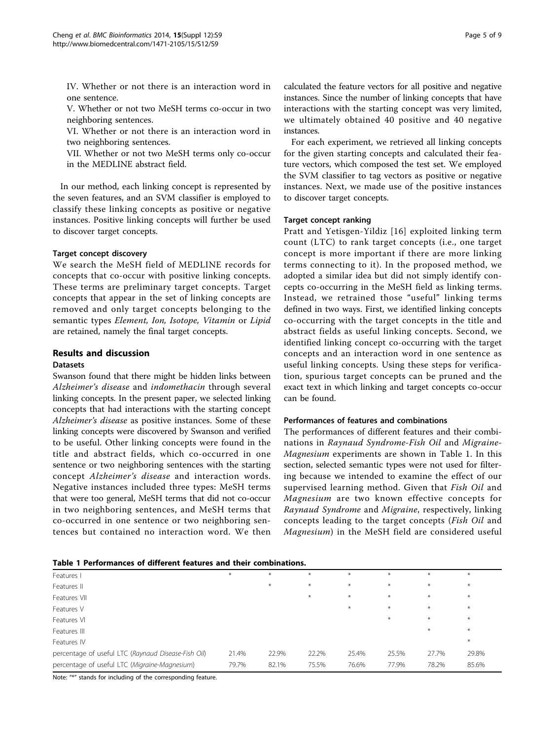<span id="page-4-0"></span>IV. Whether or not there is an interaction word in one sentence.

V. Whether or not two MeSH terms co-occur in two neighboring sentences.

VI. Whether or not there is an interaction word in two neighboring sentences.

VII. Whether or not two MeSH terms only co-occur in the MEDLINE abstract field.

In our method, each linking concept is represented by the seven features, and an SVM classifier is employed to classify these linking concepts as positive or negative instances. Positive linking concepts will further be used to discover target concepts.

#### Target concept discovery

We search the MeSH field of MEDLINE records for concepts that co-occur with positive linking concepts. These terms are preliminary target concepts. Target concepts that appear in the set of linking concepts are removed and only target concepts belonging to the semantic types Element, Ion, Isotope, Vitamin or Lipid are retained, namely the final target concepts.

### Results and discussion

#### Datasets

Swanson found that there might be hidden links between Alzheimer's disease and indomethacin through several linking concepts. In the present paper, we selected linking concepts that had interactions with the starting concept Alzheimer's disease as positive instances. Some of these linking concepts were discovered by Swanson and verified to be useful. Other linking concepts were found in the title and abstract fields, which co-occurred in one sentence or two neighboring sentences with the starting concept Alzheimer's disease and interaction words. Negative instances included three types: MeSH terms that were too general, MeSH terms that did not co-occur in two neighboring sentences, and MeSH terms that co-occurred in one sentence or two neighboring sentences but contained no interaction word. We then

calculated the feature vectors for all positive and negative instances. Since the number of linking concepts that have interactions with the starting concept was very limited, we ultimately obtained 40 positive and 40 negative instances.

For each experiment, we retrieved all linking concepts for the given starting concepts and calculated their feature vectors, which composed the test set. We employed the SVM classifier to tag vectors as positive or negative instances. Next, we made use of the positive instances to discover target concepts.

#### Target concept ranking

Pratt and Yetisgen-Yildiz [[16](#page-8-0)] exploited linking term count (LTC) to rank target concepts (i.e., one target concept is more important if there are more linking terms connecting to it). In the proposed method, we adopted a similar idea but did not simply identify concepts co-occurring in the MeSH field as linking terms. Instead, we retrained those "useful" linking terms defined in two ways. First, we identified linking concepts co-occurring with the target concepts in the title and abstract fields as useful linking concepts. Second, we identified linking concept co-occurring with the target concepts and an interaction word in one sentence as useful linking concepts. Using these steps for verification, spurious target concepts can be pruned and the exact text in which linking and target concepts co-occur can be found.

#### Performances of features and combinations

The performances of different features and their combinations in Raynaud Syndrome-Fish Oil and Migraine-Magnesium experiments are shown in Table 1. In this section, selected semantic types were not used for filtering because we intended to examine the effect of our supervised learning method. Given that Fish Oil and Magnesium are two known effective concepts for Raynaud Syndrome and Migraine, respectively, linking concepts leading to the target concepts (Fish Oil and Magnesium) in the MeSH field are considered useful

| Table 1 Performances of different features and their combinations. |  |  |  |  |  |  |
|--------------------------------------------------------------------|--|--|--|--|--|--|
|--------------------------------------------------------------------|--|--|--|--|--|--|

| Features I                                          | $*$   | $*$    | $*$    | $*$    | $*$   | $*$   | $*$   |
|-----------------------------------------------------|-------|--------|--------|--------|-------|-------|-------|
| Features II                                         |       | $\ast$ | $*$    | $*$    | $*$   | $*$   | $*$   |
| Features VII                                        |       |        | $\ast$ | $\ast$ | $*$   | $*$   | $*$   |
| Features V                                          |       |        |        | $\ast$ | $*$   | $*$   | $*$   |
| Features VI                                         |       |        |        |        | $*$   | $*$   | $*$   |
| Features III                                        |       |        |        |        |       | $*$   | $*$   |
| Features IV                                         |       |        |        |        |       |       | $*$   |
| percentage of useful LTC (Raynaud Disease-Fish Oil) | 21.4% | 22.9%  | 22.2%  | 25.4%  | 25.5% | 27.7% | 29.8% |
| percentage of useful LTC (Migraine-Magnesium)       | 79.7% | 82.1%  | 75.5%  | 76.6%  | 77.9% | 78.2% | 85.6% |
|                                                     |       |        |        |        |       |       |       |

Note: "\*" stands for including of the corresponding feature.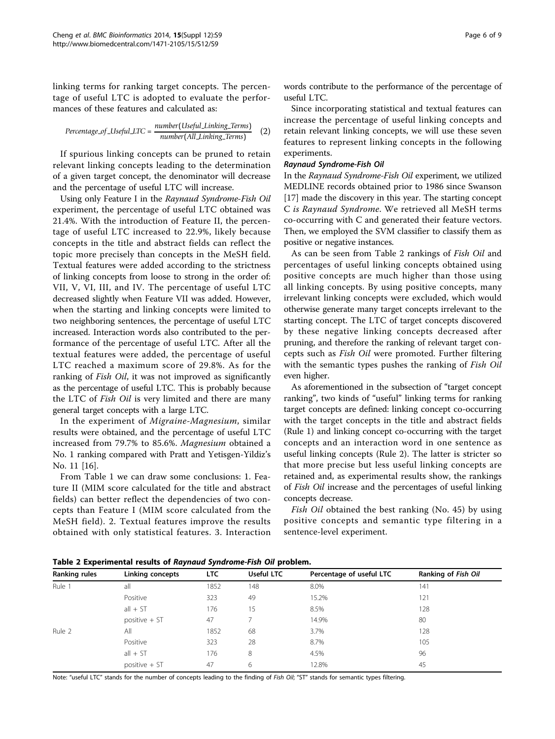linking terms for ranking target concepts. The percentage of useful LTC is adopted to evaluate the performances of these features and calculated as:

$$
Percentage_of\_Useful\_LTC = \frac{number(Useful\_Linking\_Terms)}{number(All\_Linking\_Terms)} \quad (2)
$$

If spurious linking concepts can be pruned to retain relevant linking concepts leading to the determination of a given target concept, the denominator will decrease and the percentage of useful LTC will increase.

Using only Feature I in the Raynaud Syndrome-Fish Oil experiment, the percentage of useful LTC obtained was 21.4%. With the introduction of Feature II, the percentage of useful LTC increased to 22.9%, likely because concepts in the title and abstract fields can reflect the topic more precisely than concepts in the MeSH field. Textual features were added according to the strictness of linking concepts from loose to strong in the order of: VII, V, VI, III, and IV. The percentage of useful LTC decreased slightly when Feature VII was added. However, when the starting and linking concepts were limited to two neighboring sentences, the percentage of useful LTC increased. Interaction words also contributed to the performance of the percentage of useful LTC. After all the textual features were added, the percentage of useful LTC reached a maximum score of 29.8%. As for the ranking of Fish Oil, it was not improved as significantly as the percentage of useful LTC. This is probably because the LTC of *Fish Oil* is very limited and there are many general target concepts with a large LTC.

In the experiment of Migraine-Magnesium, similar results were obtained, and the percentage of useful LTC increased from 79.7% to 85.6%. Magnesium obtained a No. 1 ranking compared with Pratt and Yetisgen-Yildiz's No. 11 [[16\]](#page-8-0).

From Table [1](#page-4-0) we can draw some conclusions: 1. Feature II (MIM score calculated for the title and abstract fields) can better reflect the dependencies of two concepts than Feature I (MIM score calculated from the MeSH field). 2. Textual features improve the results obtained with only statistical features. 3. Interaction

Since incorporating statistical and textual features can increase the percentage of useful linking concepts and retain relevant linking concepts, we will use these seven features to represent linking concepts in the following experiments.

#### Raynaud Syndrome-Fish Oil

In the Raynaud Syndrome-Fish Oil experiment, we utilized MEDLINE records obtained prior to 1986 since Swanson [[17\]](#page-8-0) made the discovery in this year. The starting concept C is Raynaud Syndrome. We retrieved all MeSH terms co-occurring with C and generated their feature vectors. Then, we employed the SVM classifier to classify them as positive or negative instances.

As can be seen from Table 2 rankings of Fish Oil and percentages of useful linking concepts obtained using positive concepts are much higher than those using all linking concepts. By using positive concepts, many irrelevant linking concepts were excluded, which would otherwise generate many target concepts irrelevant to the starting concept. The LTC of target concepts discovered by these negative linking concepts decreased after pruning, and therefore the ranking of relevant target concepts such as Fish Oil were promoted. Further filtering with the semantic types pushes the ranking of *Fish Oil* even higher.

As aforementioned in the subsection of "target concept ranking", two kinds of "useful" linking terms for ranking target concepts are defined: linking concept co-occurring with the target concepts in the title and abstract fields (Rule 1) and linking concept co-occurring with the target concepts and an interaction word in one sentence as useful linking concepts (Rule 2). The latter is stricter so that more precise but less useful linking concepts are retained and, as experimental results show, the rankings of Fish Oil increase and the percentages of useful linking concepts decrease.

Fish Oil obtained the best ranking (No. 45) by using positive concepts and semantic type filtering in a sentence-level experiment.

Table 2 Experimental results of Raynaud Syndrome-Fish Oil problem.

| Ranking rules | Linking concepts | <b>LTC</b> | Useful LTC | Percentage of useful LTC | Ranking of Fish Oil |
|---------------|------------------|------------|------------|--------------------------|---------------------|
| Rule 1        | all              | 1852       | 148        | 8.0%                     | 141                 |
|               | Positive         | 323        | 49         | 15.2%                    | 121                 |
|               | $all + ST$       | 176        | 15         | 8.5%                     | 128                 |
|               | positive $+ST$   | 47         |            | 14.9%                    | 80                  |
| Rule 2        | All              | 1852       | 68         | 3.7%                     | 128                 |
|               | Positive         | 323        | 28         | 8.7%                     | 105                 |
|               | $all + ST$       | 176        | 8          | 4.5%                     | 96                  |
|               | positive $+ST$   | 47         | 6          | 12.8%                    | 45                  |

Note: "useful LTC" stands for the number of concepts leading to the finding of Fish Oil; "ST" stands for semantic types filtering.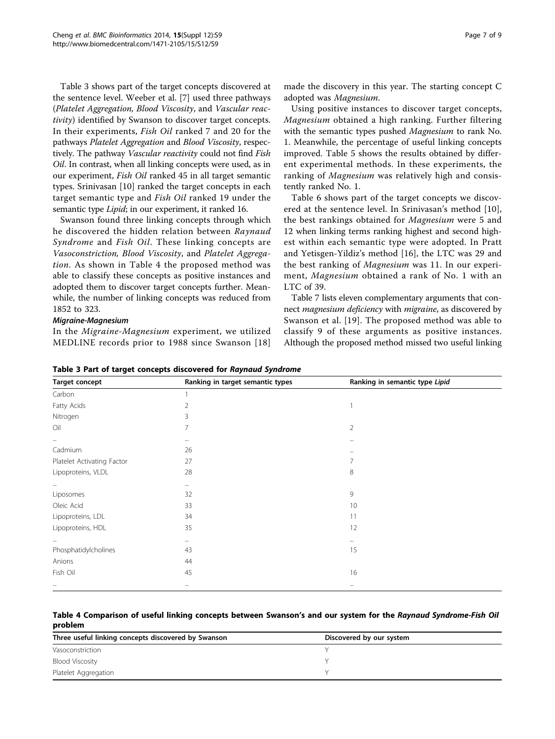Table 3 shows part of the target concepts discovered at the sentence level. Weeber et al. [[7\]](#page-8-0) used three pathways (Platelet Aggregation, Blood Viscosity, and Vascular reactivity) identified by Swanson to discover target concepts. In their experiments, Fish Oil ranked 7 and 20 for the pathways Platelet Aggregation and Blood Viscosity, respectively. The pathway Vascular reactivity could not find Fish Oil. In contrast, when all linking concepts were used, as in our experiment, Fish Oil ranked 45 in all target semantic types. Srinivasan [[10](#page-8-0)] ranked the target concepts in each target semantic type and Fish Oil ranked 19 under the semantic type Lipid; in our experiment, it ranked 16.

Swanson found three linking concepts through which he discovered the hidden relation between Raynaud Syndrome and Fish Oil. These linking concepts are Vasoconstriction, Blood Viscosity, and Platelet Aggregation. As shown in Table 4 the proposed method was able to classify these concepts as positive instances and adopted them to discover target concepts further. Meanwhile, the number of linking concepts was reduced from 1852 to 323.

#### Migraine-Magnesium

In the Migraine-Magnesium experiment, we utilized MEDLINE records prior to 1988 since Swanson [[18](#page-8-0)]

made the discovery in this year. The starting concept C adopted was Magnesium.

Using positive instances to discover target concepts, Magnesium obtained a high ranking. Further filtering with the semantic types pushed Magnesium to rank No. 1. Meanwhile, the percentage of useful linking concepts improved. Table [5](#page-7-0) shows the results obtained by different experimental methods. In these experiments, the ranking of Magnesium was relatively high and consistently ranked No. 1.

Table [6](#page-7-0) shows part of the target concepts we discovered at the sentence level. In Srinivasan's method [[10](#page-8-0)], the best rankings obtained for Magnesium were 5 and 12 when linking terms ranking highest and second highest within each semantic type were adopted. In Pratt and Yetisgen-Yildiz's method [[16\]](#page-8-0), the LTC was 29 and the best ranking of Magnesium was 11. In our experiment, Magnesium obtained a rank of No. 1 with an LTC of 39.

Table [7](#page-7-0) lists eleven complementary arguments that connect magnesium deficiency with migraine, as discovered by Swanson et al. [[19](#page-8-0)]. The proposed method was able to classify 9 of these arguments as positive instances. Although the proposed method missed two useful linking

| <b>Target concept</b>      | Ranking in target semantic types | Ranking in semantic type Lipid |
|----------------------------|----------------------------------|--------------------------------|
| Carbon                     |                                  |                                |
| Fatty Acids                | $\overline{2}$                   |                                |
| Nitrogen                   | 3                                |                                |
| Oil                        | 7                                | $\overline{2}$                 |
| $\cdots$                   |                                  | $\cdots$                       |
| Cadmium                    | 26                               | $\cdots$                       |
| Platelet Activating Factor | 27                               |                                |
| Lipoproteins, VLDL         | 28                               | 8                              |
|                            | $\cdots$                         |                                |
| Liposomes                  | 32                               | 9                              |
| Oleic Acid                 | 33                               | 10                             |
| Lipoproteins, LDL          | 34                               | 11                             |
| Lipoproteins, HDL          | 35                               | 12                             |
|                            |                                  |                                |
| Phosphatidylcholines       | 43                               | 15                             |
| Anions                     | 44                               |                                |
| Fish Oil                   | 45                               | 16                             |
| $\cdots$                   | $\cdots$                         |                                |

| Table 3 Part of target concepts discovered for Raynaud Syndrome |  |
|-----------------------------------------------------------------|--|
|-----------------------------------------------------------------|--|

#### Table 4 Comparison of useful linking concepts between Swanson's and our system for the Raynaud Syndrome-Fish Oil problem

| Three useful linking concepts discovered by Swanson | Discovered by our system |  |  |
|-----------------------------------------------------|--------------------------|--|--|
| Vasoconstriction                                    |                          |  |  |
| Blood Viscosity                                     |                          |  |  |
| Platelet Aggregation                                |                          |  |  |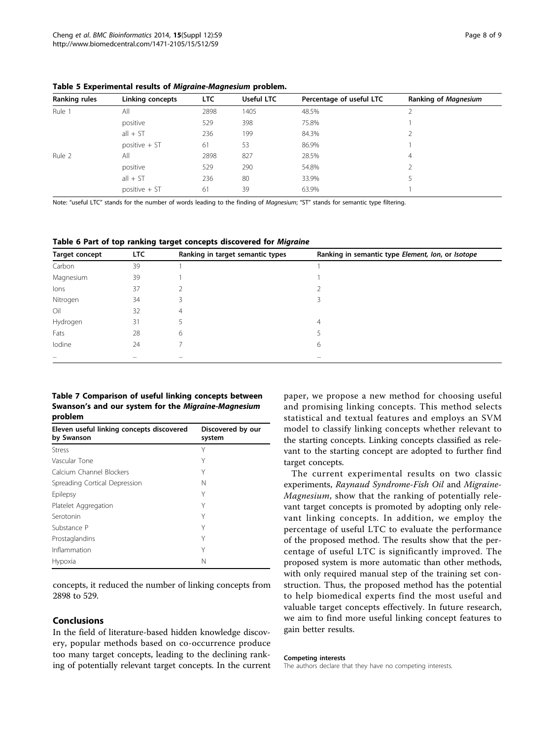| Ranking rules | Linking concepts | <b>LTC</b> | Useful LTC | Percentage of useful LTC | Ranking of Magnesium |
|---------------|------------------|------------|------------|--------------------------|----------------------|
| Rule 1        | All              | 2898       | 1405       | 48.5%                    |                      |
|               | positive         | 529        | 398        | 75.8%                    |                      |
|               | $all + ST$       | 236        | 199        | 84.3%                    |                      |
|               | positive $+ST$   | 61         | 53         | 86.9%                    |                      |
| Rule 2        | All              | 2898       | 827        | 28.5%                    | 4                    |
|               | positive         | 529        | 290        | 54.8%                    |                      |
|               | $all + ST$       | 236        | 80         | 33.9%                    |                      |
|               | positive $+ST$   | 61         | 39         | 63.9%                    |                      |

<span id="page-7-0"></span>Table 5 Experimental results of Migraine-Magnesium problem.

Note: "useful LTC" stands for the number of words leading to the finding of Magnesium: "ST" stands for semantic type filtering.

Table 6 Part of top ranking target concepts discovered for Migraine

| <b>Target concept</b> | <b>LTC</b> | Ranking in target semantic types | Ranking in semantic type Element, Ion, or Isotope |
|-----------------------|------------|----------------------------------|---------------------------------------------------|
| Carbon                | 39         |                                  |                                                   |
| Magnesium             | 39         |                                  |                                                   |
| lons                  | 37         |                                  |                                                   |
| Nitrogen              | 34         |                                  |                                                   |
| Oil                   | 32         | 4                                |                                                   |
| Hydrogen              | 31         |                                  | 4                                                 |
| Fats                  | 28         | 6                                |                                                   |
| lodine                | 24         |                                  | 6                                                 |
| $\cdots$              | $\cdots$   | $\cdots$                         |                                                   |

Table 7 Comparison of useful linking concepts between Swanson's and our system for the Migraine-Magnesium problem

| Eleven useful linking concepts discovered<br>by Swanson | Discovered by our<br>system |  |  |
|---------------------------------------------------------|-----------------------------|--|--|
| <b>Stress</b>                                           | Υ                           |  |  |
| Vascular Tone                                           | Υ                           |  |  |
| Calcium Channel Blockers                                | Υ                           |  |  |
| Spreading Cortical Depression                           | Ν                           |  |  |
| Epilepsy                                                | Υ                           |  |  |
| Platelet Aggregation                                    | Υ                           |  |  |
| Serotonin                                               | Υ                           |  |  |
| Substance P                                             | Υ                           |  |  |
| Prostaglandins                                          | Υ                           |  |  |
| Inflammation                                            | Υ                           |  |  |
| Hypoxia                                                 | Ν                           |  |  |

concepts, it reduced the number of linking concepts from 2898 to 529.

#### Conclusions

In the field of literature-based hidden knowledge discovery, popular methods based on co-occurrence produce too many target concepts, leading to the declining ranking of potentially relevant target concepts. In the current

paper, we propose a new method for choosing useful and promising linking concepts. This method selects statistical and textual features and employs an SVM model to classify linking concepts whether relevant to the starting concepts. Linking concepts classified as relevant to the starting concept are adopted to further find target concepts.

The current experimental results on two classic experiments, Raynaud Syndrome-Fish Oil and Migraine-Magnesium, show that the ranking of potentially relevant target concepts is promoted by adopting only relevant linking concepts. In addition, we employ the percentage of useful LTC to evaluate the performance of the proposed method. The results show that the percentage of useful LTC is significantly improved. The proposed system is more automatic than other methods, with only required manual step of the training set construction. Thus, the proposed method has the potential to help biomedical experts find the most useful and valuable target concepts effectively. In future research, we aim to find more useful linking concept features to gain better results.

#### Competing interests

The authors declare that they have no competing interests.